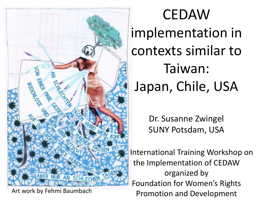

CEDAW implementation in contexts similar to Taiwan: Japan, Chile, USA

> Dr. Susanne Zwingel SUNY Potsdam, USA

 International Training Workshop on the Implementation of CEDAW organized by Foundation for Women's Rights Art work by Fehmi Baumbach<br>
Promotion and Development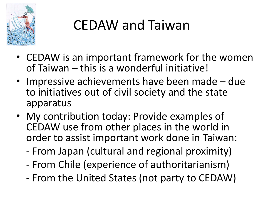

### CEDAW and Taiwan

- CEDAW is an important framework for the women of Taiwan – this is a wonderful initiative!
- Impressive achievements have been made due to initiatives out of civil society and the state apparatus
- My contribution today: Provide examples of CEDAW use from other places in the world in order to assist important work done in Taiwan:
	- From Japan (cultural and regional proximity)
	- From Chile (experience of authoritarianism)
	- From the United States (not party to CEDAW)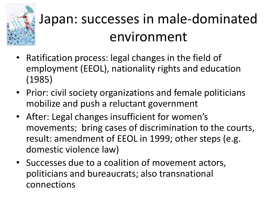

# Japan: successes in male-dominated environment

- Ratification process: legal changes in the field of employment (EEOL), nationality rights and education (1985)
- Prior: civil society organizations and female politicians mobilize and push a reluctant government
- After: Legal changes insufficient for women's movements; bring cases of discrimination to the courts, result: amendment of EEOL in 1999; other steps (e.g. domestic violence law)
- Successes due to a coalition of movement actors, politicians and bureaucrats; also transnational connections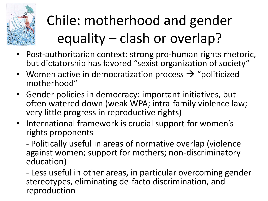

# Chile: motherhood and gender equality – clash or overlap?

- Post-authoritarian context: strong pro-human rights rhetoric, but dictatorship has favored "sexist organization of society"
- Women active in democratization process  $\rightarrow$  "politicized motherhood"
- Gender policies in democracy: important initiatives, but often watered down (weak WPA; intra-family violence law; very little progress in reproductive rights)
- International framework is crucial support for women's rights proponents

- Politically useful in areas of normative overlap (violence against women; support for mothers; non-discriminatory education)

- Less useful in other areas, in particular overcoming gender stereotypes, eliminating de-facto discrimination, and reproduction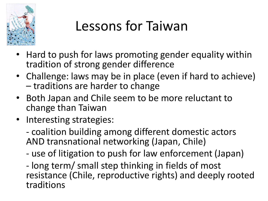

### Lessons for Taiwan

- Hard to push for laws promoting gender equality within tradition of strong gender difference
- Challenge: laws may be in place (even if hard to achieve) – traditions are harder to change
- Both Japan and Chile seem to be more reluctant to change than Taiwan
- Interesting strategies:
	- coalition building among different domestic actors AND transnational networking (Japan, Chile)
	- use of litigation to push for law enforcement (Japan)

- long term/ small step thinking in fields of most resistance (Chile, reproductive rights) and deeply rooted traditions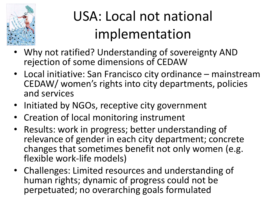

# USA: Local not national implementation

- Why not ratified? Understanding of sovereignty AND rejection of some dimensions of CEDAW
- Local initiative: San Francisco city ordinance mainstream CEDAW/ women's rights into city departments, policies and services
- Initiated by NGOs, receptive city government
- Creation of local monitoring instrument
- Results: work in progress; better understanding of relevance of gender in each city department; concrete changes that sometimes benefit not only women (e.g. flexible work-life models)
- Challenges: Limited resources and understanding of human rights; dynamic of progress could not be perpetuated; no overarching goals formulated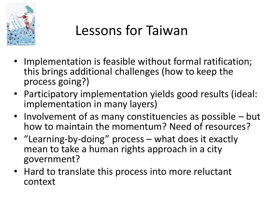

#### Lessons for Taiwan

- Implementation is feasible without formal ratification; this brings additional challenges (how to keep the process going?)
- Participatory implementation yields good results (ideal: implementation in many layers)
- Involvement of as many constituencies as possible but how to maintain the momentum? Need of resources?
- "Learning-by-doing" process what does it exactly mean to take a human rights approach in a city government?
- Hard to translate this process into more reluctant context